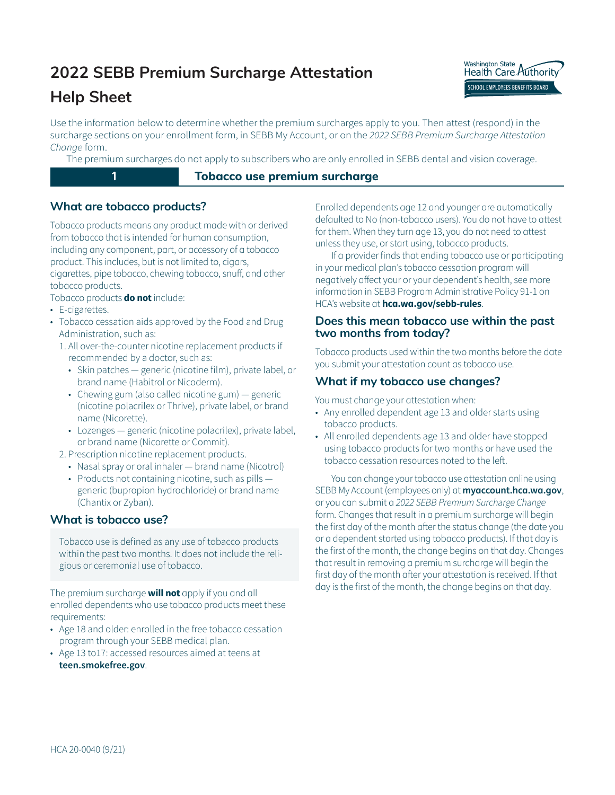# **2022 SEBB Premium Surcharge Attestation**



Washington State<br>Health Care Authority SCHOOL EMPLOYEES BENEFITS BOARD í

Use the information below to determine whether the premium surcharges apply to you. Then attest (respond) in the surcharge sections on your enrollment form, in SEBB My Account, or on the *2022 SEBB Premium Surcharge Attestation Change* form.

The premium surcharges do not apply to subscribers who are only enrolled in SEBB dental and vision coverage.

# **1 1 Tobacco** use premium surcharge

# **What are tobacco products?**

Tobacco products means any product made with or derived from tobacco that is intended for human consumption, including any component, part, or accessory of a tobacco product. This includes, but is not limited to, cigars, cigarettes, pipe tobacco, chewing tobacco, snuff, and other tobacco products.

- Tobacco products **do not** include:
- E-cigarettes.
- Tobacco cessation aids approved by the Food and Drug Administration, such as:
	- 1. All over-the-counter nicotine replacement products if recommended by a doctor, such as:
		- Skin patches generic (nicotine film), private label, or brand name (Habitrol or Nicoderm).
		- Chewing gum (also called nicotine gum) generic (nicotine polacrilex or Thrive), private label, or brand name (Nicorette).
		- Lozenges generic (nicotine polacrilex), private label, or brand name (Nicorette or Commit).
	- 2. Prescription nicotine replacement products.
		- Nasal spray or oral inhaler brand name (Nicotrol)
		- Products not containing nicotine, such as pills generic (bupropion hydrochloride) or brand name (Chantix or Zyban).

# **What is tobacco use?**

Tobacco use is defined as any use of tobacco products within the past two months. It does not include the religious or ceremonial use of tobacco.

The premium surcharge **will not** apply if you and all enrolled dependents who use tobacco products meet these requirements:

- Age 18 and older: enrolled in the free tobacco cessation program through your SEBB medical plan.
- Age 13 to17: accessed resources aimed at teens a[t](http:// teen.smokefree.gov) **[teen.smokefree.gov](http:// teen.smokefree.gov)**.

Enrolled dependents age 12 and younger are automatically defaulted to No (non-tobacco users). You do not have to attest for them. When they turn age 13, you do not need to attest unless they use, or start using, tobacco products.

If a provider finds that ending tobacco use or participating in your medical plan's tobacco cessation program will negatively affect your or your dependent's health, see more information in SEBB Program Administrative Policy 91-1 on HCA's website at **hca.wa.gov/sebb-rules**.

## Does this mean tobacco use within the past **two months from today?**

Tobacco products used within the two months before the date you submit your attestation count as tobacco use.

## **What if my tobacco use changes?**

You must change your attestation when:

- Any enrolled dependent age 13 and older starts using tobacco products.
- All enrolled dependents age 13 and older have stopped using tobacco products for two months or have used the tobacco cessation resources noted to the left.

You can change your tobacco use attestation online using SEBB My Account (employees only) at **myaccount[.hca.wa.gov](http://myaccount.hca.wa.gov)**, or you can submit a 2022 SEBB Premium Surcharge Change form. Changes that result in a premium surcharge will begin the first day of the month after the status change (the date you or a dependent started using tobacco products). If that day is the first of the month, the change begins on that day. Changes that result in removing a premium surcharge will begin the first day of the month after your attestation is received. If that day is the first of the month, the change begins on that day.